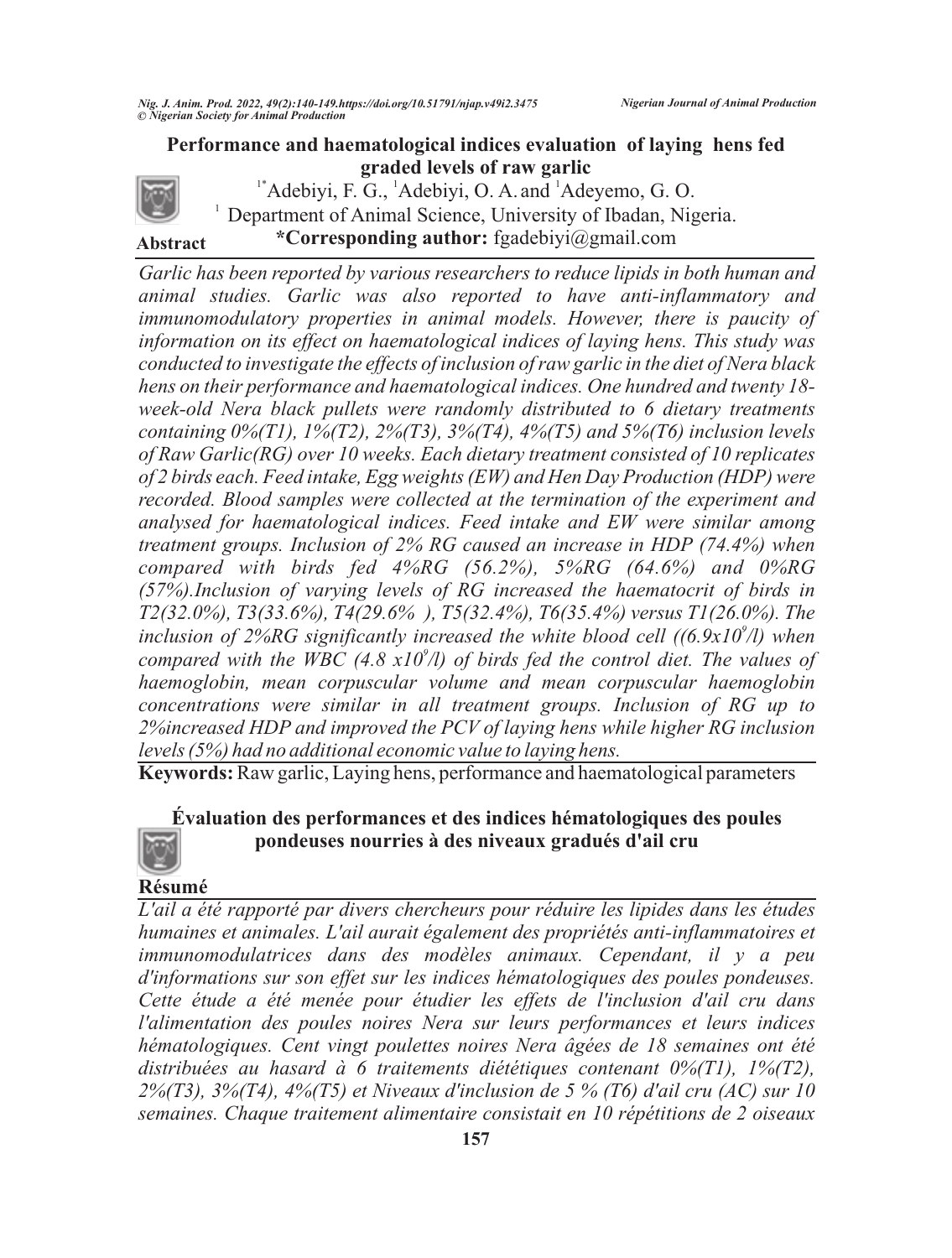

**Abstract**

 $1^*$ Adebiyi, F. G.,  $^1$ Adebiyi, O. A. and  $^1$ Adeyemo, G. O.  $1$  Department of Animal Science, University of Ibadan, Nigeria. **\*Corresponding author:** fgadebiyi@gmail.com

*Garlic has been reported by various researchers to reduce lipids in both human and animal studies. Garlic was also reported to have anti-inflammatory and immunomodulatory properties in animal models. However, there is paucity of information on its effect on haematological indices of laying hens. This study was conducted to investigate the effects of inclusion of raw garlic in the diet of Nera black hens on their performance and haematological indices. One hundred and twenty 18 week-old Nera black pullets were randomly distributed to 6 dietary treatments containing 0%(T1), 1%(T2), 2%(T3), 3%(T4), 4%(T5) and 5%(T6) inclusion levels of Raw Garlic(RG) over 10 weeks. Each dietary treatment consisted of 10 replicates of 2 birds each. Feed intake, Egg weights (EW) and Hen Day Production (HDP) were recorded. Blood samples were collected at the termination of the experiment and analysed for haematological indices. Feed intake and EW were similar among treatment groups. Inclusion of 2% RG caused an increase in HDP (74.4%) when compared with birds fed 4%RG (56.2%), 5%RG (64.6%) and 0%RG (57%).Inclusion of varying levels of RG increased the haematocrit of birds in T2(32.0%), T3(33.6%), T4(29.6% ), T5(32.4%), T6(35.4%) versus T1(26.0%). The inclusion of 2%RG significantly increased the white blood cell ((6.9x10<sup>9</sup>/l) when 9 compared with the WBC (4.8 x10 /l) of birds fed the control diet. The values of haemoglobin, mean corpuscular volume and mean corpuscular haemoglobin concentrations were similar in all treatment groups. Inclusion of RG up to 2%increased HDP and improved the PCV of laying hens while higher RG inclusion levels (5%) had no additional economic value to laying hens.* 

**Keywords:** Raw garlic, Laying hens, performance and haematological parameters

# **Évaluation des performances et des indices hématologiques des poules pondeuses nourries à des niveaux gradués d'ail cru**

### **Résumé**

*L'ail a été rapporté par divers chercheurs pour réduire les lipides dans les études humaines et animales. L'ail aurait également des propriétés anti-inflammatoires et immunomodulatrices dans des modèles animaux. Cependant, il y a peu d'informations sur son effet sur les indices hématologiques des poules pondeuses. Cette étude a été menée pour étudier les effets de l'inclusion d'ail cru dans l'alimentation des poules noires Nera sur leurs performances et leurs indices hématologiques. Cent vingt poulettes noires Nera âgées de 18 semaines ont été distribuées au hasard à 6 traitements diététiques contenant 0%(T1), 1%(T2), 2%(T3), 3%(T4), 4%(T5) et Niveaux d'inclusion de 5 % (T6) d'ail cru (AC) sur 10 semaines. Chaque traitement alimentaire consistait en 10 répétitions de 2 oiseaux*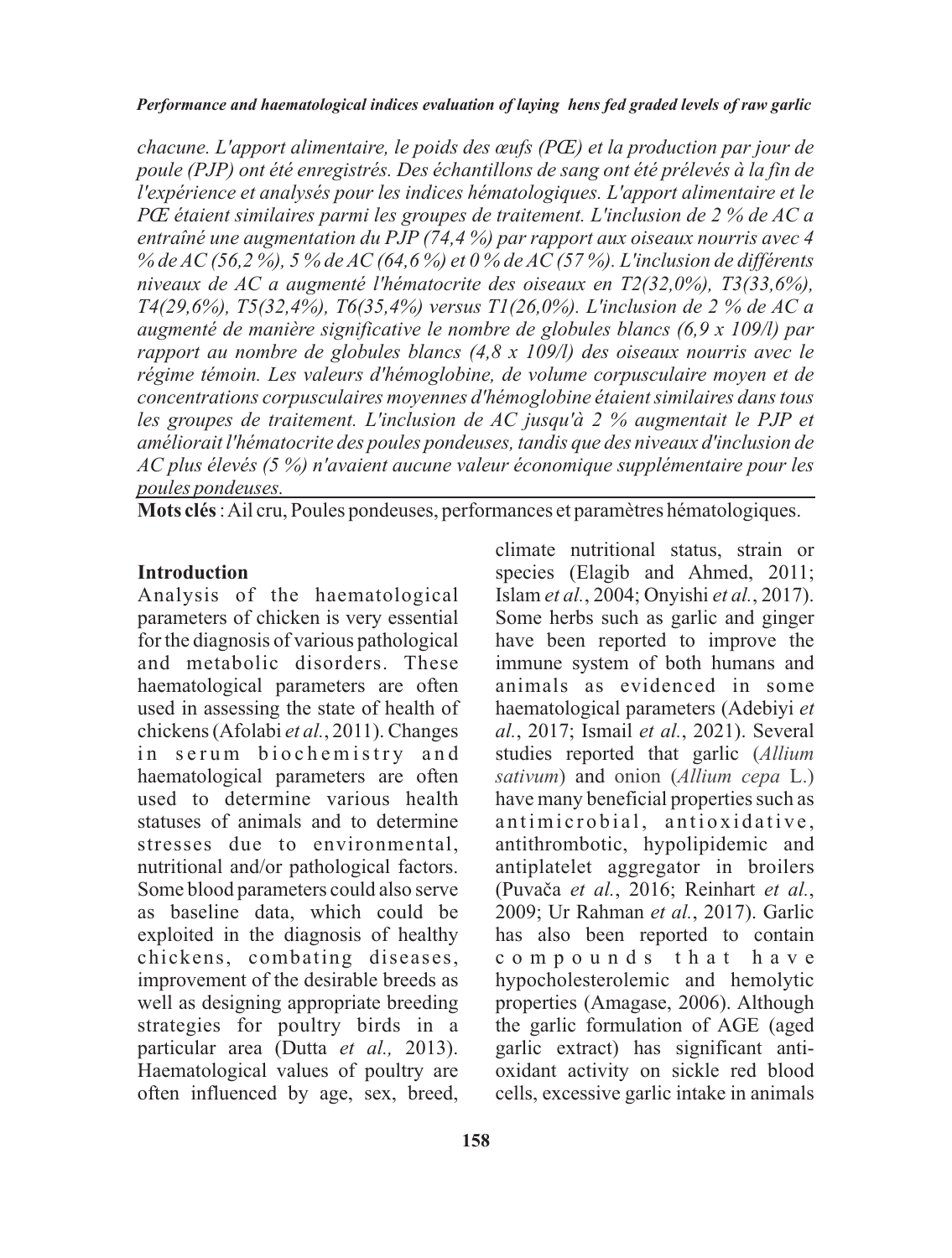*chacune. L'apport alimentaire, le poids des œufs (PŒ) et la production par jour de poule (PJP) ont été enregistrés. Des échantillons de sang ont été prélevés à la fin de l'expérience et analysés pour les indices hématologiques. L'apport alimentaire et le PŒ étaient similaires parmi les groupes de traitement. L'inclusion de 2 % de AC a entraîné une augmentation du PJP (74,4 %) par rapport aux oiseaux nourris avec 4 % de AC (56,2 %), 5 % de AC (64,6 %) et 0 % de AC (57 %). L'inclusion de différents niveaux de AC a augmenté l'hématocrite des oiseaux en T2(32,0%), T3(33,6%), T4(29,6%), T5(32,4%), T6(35,4%) versus T1(26,0%). L'inclusion de 2 % de AC a augmenté de manière significative le nombre de globules blancs (6,9 x 109/l) par rapport au nombre de globules blancs (4,8 x 109/l) des oiseaux nourris avec le régime témoin. Les valeurs d'hémoglobine, de volume corpusculaire moyen et de concentrations corpusculaires moyennes d'hémoglobine étaient similaires dans tous les groupes de traitement. L'inclusion de AC jusqu'à 2 % augmentait le PJP et améliorait l'hématocrite des poules pondeuses, tandis que des niveaux d'inclusion de AC plus élevés (5 %) n'avaient aucune valeur économique supplémentaire pour les poules pondeuses.*

**Mots clés**: Ail cru, Poules pondeuses, performances et paramètres hématologiques.

### **Introduction**

Analysis of the haematological parameters of chicken is very essential for the diagnosis of various pathological and metabolic disorders. These haematological parameters are often used in assessing the state of health of chickens (Afolabi *et al.*, 2011). Changes in serum biochemistry and haematological parameters are often used to determine various health statuses of animals and to determine stresses due to environmental, nutritional and/or pathological factors. Some blood parameters could also serve as baseline data, which could be exploited in the diagnosis of healthy chickens, combating diseases, improvement of the desirable breeds as well as designing appropriate breeding strategies for poultry birds in a particular area (Dutta *et al.,* 2013). Haematological values of poultry are often influenced by age, sex, breed,

climate nutritional status, strain or species (Elagib and Ahmed, 2011; Islam *et al.*, 2004; Onyishi *et al.*, 2017). Some herbs such as garlic and ginger have been reported to improve the immune system of both humans and animals as evidenced in some haematological parameters (Adebiyi *et al.*, 2017; Ismail *et al.*, 2021). Several studies reported that garlic (*Allium*  sativum) and onion (Allium cepa L.) have many beneficial properties such as antimicrobial, antioxidative, antithrombotic, hypolipidemic and antiplatelet aggregator in broilers (Puvaèa *et al.*, 2016; Reinhart *et al.*, 2009; Ur Rahman *et al.*, 2017). Garlic has also been reported to contain c o m p o u n d s t h a t h a v e hypocholesterolemic and hemolytic properties (Amagase, 2006). Although the garlic formulation of AGE (aged garlic extract) has significant antioxidant activity on sickle red blood cells, excessive garlic intake in animals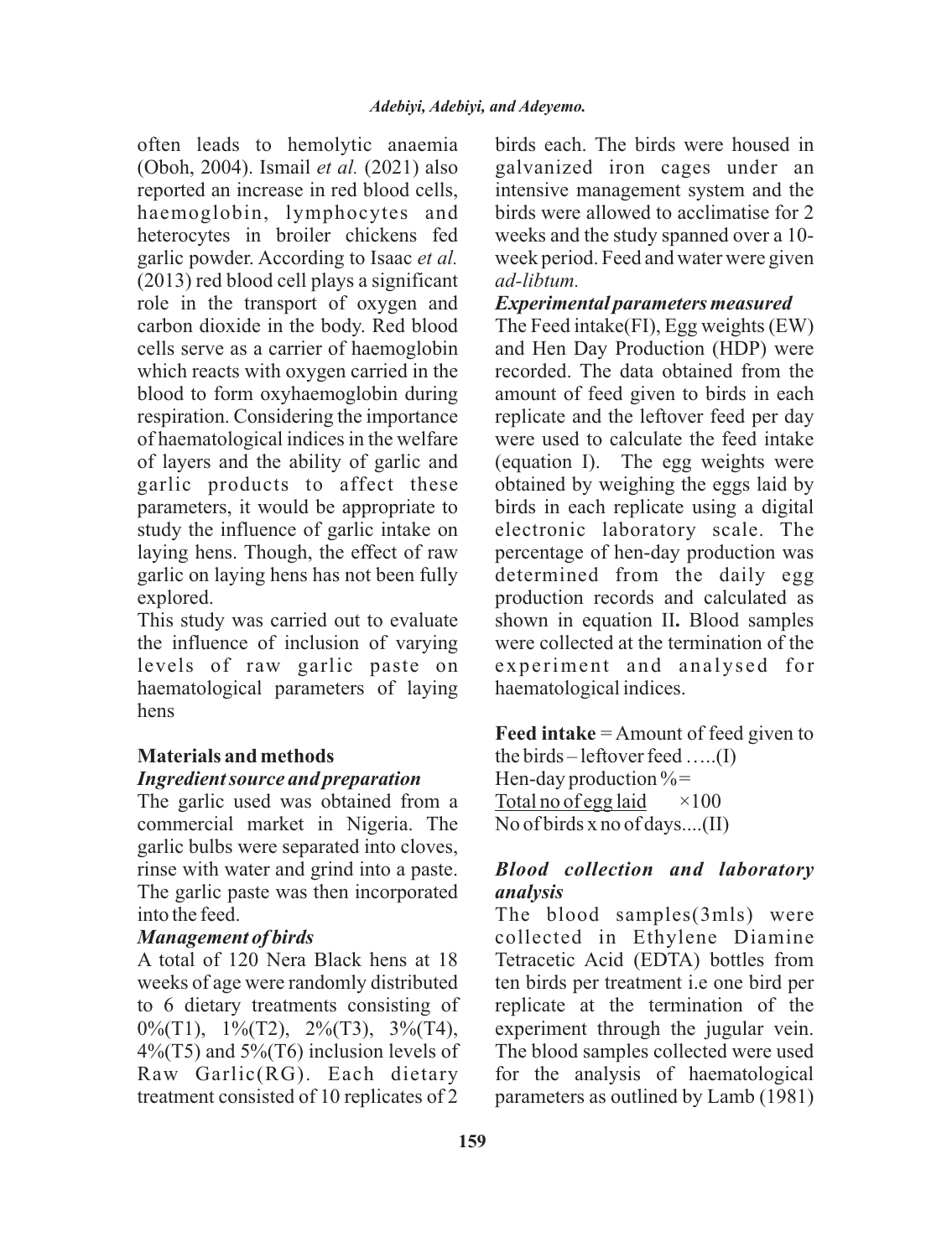often leads to hemolytic anaemia (Oboh, 2004). Ismail *et al.* (2021) also reported an increase in red blood cells, haemoglobin, lymphocytes and heterocytes in broiler chickens fed garlic powder. According to Isaac *et al.* (2013) red blood cell plays a significant role in the transport of oxygen and carbon dioxide in the body. Red blood cells serve as a carrier of haemoglobin which reacts with oxygen carried in the blood to form oxyhaemoglobin during respiration. Considering the importance of haematological indices in the welfare of layers and the ability of garlic and garlic products to affect these parameters, it would be appropriate to study the influence of garlic intake on laying hens. Though, the effect of raw garlic on laying hens has not been fully explored.

This study was carried out to evaluate the influence of inclusion of varying levels of raw garlic paste on haematological parameters of laying hens

### **Materials and methods** *Ingredient source and preparation*

The garlic used was obtained from a commercial market in Nigeria. The garlic bulbs were separated into cloves, rinse with water and grind into a paste. The garlic paste was then incorporated into the feed.

### *Management of birds*

A total of 120 Nera Black hens at 18 weeks of age were randomly distributed to 6 dietary treatments consisting of 0%(T1), 1%(T2), 2%(T3), 3%(T4),  $4\%$ (T5) and  $5\%$ (T6) inclusion levels of Raw Garlic(RG). Each dietary treatment consisted of 10 replicates of 2

birds each. The birds were housed in galvanized iron cages under an intensive management system and the birds were allowed to acclimatise for 2 weeks and the study spanned over a 10 week period. Feed and water were given *ad-libtum.*

# *Experimental parameters measured*

The Feed intake(FI), Egg weights (EW) and Hen Day Production (HDP) were recorded. The data obtained from the amount of feed given to birds in each replicate and the leftover feed per day were used to calculate the feed intake (equation I). The egg weights were obtained by weighing the eggs laid by birds in each replicate using a digital electronic laboratory scale. The percentage of hen-day production was determined from the daily egg production records and calculated as shown in equation II**.** Blood samples were collected at the termination of the experiment and analysed for haematological indices.

**Feed intake** = Amount of feed given to the birds – leftover feed …..(I) Hen-day production  $\%$ = Total no of egg laid  $\times 100$ No of birds x no of days....(II)

# *Blood collection and laboratory analysis*

The blood samples(3mls) were collected in Ethylene Diamine Tetracetic Acid (EDTA) bottles from ten birds per treatment i.e one bird per replicate at the termination of the experiment through the jugular vein. The blood samples collected were used for the analysis of haematological parameters as outlined by Lamb (1981)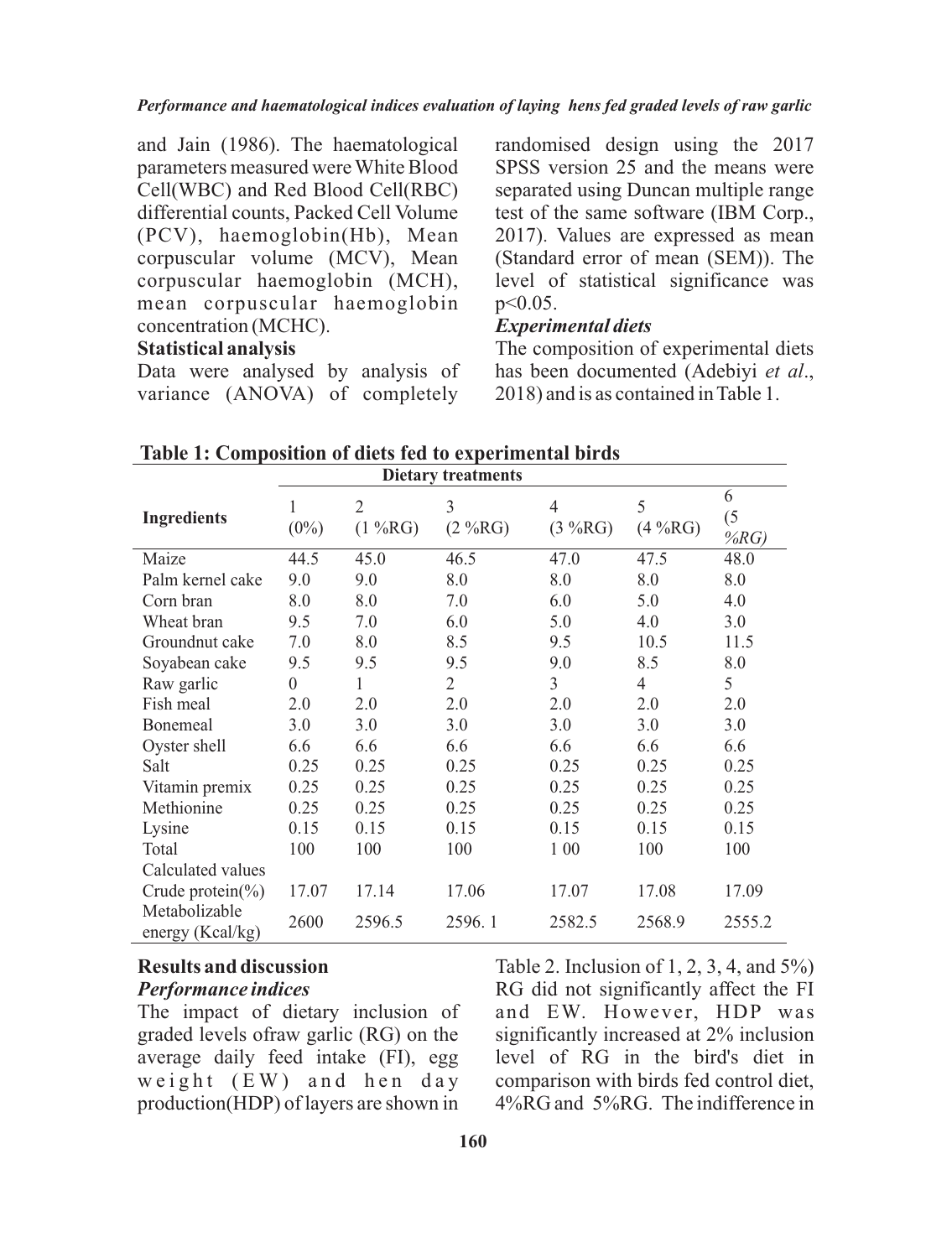and Jain (1986). The haematological parameters measured were White Blood Cell(WBC) and Red Blood Cell(RBC) differential counts, Packed Cell Volume (PCV), haemoglobin(Hb), Mean corpuscular volume (MCV), Mean corpuscular haemoglobin (MCH), mean corpuscular haemoglobin concentration (MCHC).

### **Statistical analysis**

Data were analysed by analysis of variance (ANOVA) of completely

randomised design using the 2017 SPSS version 25 and the means were separated using Duncan multiple range test of the same software (IBM Corp., 2017). Values are expressed as mean (Standard error of mean (SEM)). The level of statistical significance was p<0.05.

### *Experimental diets*

The composition of experimental diets has been documented (Adebiyi *et al*., 2018) and is as contained in Table 1.

| <b>Dietary treatments</b>         |              |              |                |                           |              |                 |  |
|-----------------------------------|--------------|--------------|----------------|---------------------------|--------------|-----------------|--|
| <b>Ingredients</b>                | 1<br>$(0\%)$ | 2<br>(1 %RG) | 3<br>(2 %RG)   | $\overline{4}$<br>(3 %RG) | 5<br>(4 %RG) | 6<br>(5)<br>%RG |  |
| Maize                             | 44.5         | 45.0         | 46.5           | 47.0                      | 47.5         | 48.0            |  |
| Palm kernel cake                  | 9.0          | 9.0          | 8.0            | 8.0                       | 8.0          | 8.0             |  |
| Corn bran                         | 8.0          | 8.0          | 7.0            | 6.0                       | 5.0          | 4.0             |  |
| Wheat bran                        | 9.5          | 7.0          | 6.0            | 5.0                       | 4.0          | 3.0             |  |
| Groundnut cake                    | 7.0          | 8.0          | 8.5            | 9.5                       | 10.5         | 11.5            |  |
| Soyabean cake                     | 9.5          | 9.5          | 9.5            | 9.0                       | 8.5          | 8.0             |  |
| Raw garlic                        | $\theta$     | 1            | $\overline{2}$ | 3                         | 4            | 5               |  |
| Fish meal                         | 2.0          | 2.0          | 2.0            | 2.0                       | 2.0          | 2.0             |  |
| Bonemeal                          | 3.0          | 3.0          | 3.0            | 3.0                       | 3.0          | 3.0             |  |
| Oyster shell                      | 6.6          | 6.6          | 6.6            | 6.6                       | 6.6          | 6.6             |  |
| Salt                              | 0.25         | 0.25         | 0.25           | 0.25                      | 0.25         | 0.25            |  |
| Vitamin premix                    | 0.25         | 0.25         | 0.25           | 0.25                      | 0.25         | 0.25            |  |
| Methionine                        | 0.25         | 0.25         | 0.25           | 0.25                      | 0.25         | 0.25            |  |
| Lysine                            | 0.15         | 0.15         | 0.15           | 0.15                      | 0.15         | 0.15            |  |
| Total                             | 100          | 100          | 100            | 1 0 0                     | 100          | 100             |  |
| Calculated values                 |              |              |                |                           |              |                 |  |
| Crude protein $(\% )$             | 17.07        | 17.14        | 17.06          | 17.07                     | 17.08        | 17.09           |  |
| Metabolizable<br>energy (Kcal/kg) | 2600         | 2596.5       | 2596.1         | 2582.5                    | 2568.9       | 2555.2          |  |

**Table 1: Composition of diets fed to experimental birds**

# **Results and discussion** *Performance indices*

The impact of dietary inclusion of graded levels ofraw garlic (RG) on the average daily feed intake (FI), egg weight  $(EW)$  and hen day production(HDP) of layers are shown in

Table 2. Inclusion of 1, 2, 3, 4, and 5%) RG did not significantly affect the FI and EW. However, HDP was significantly increased at 2% inclusion level of RG in the bird's diet in comparison with birds fed control diet, 4%RG and 5%RG. The indifference in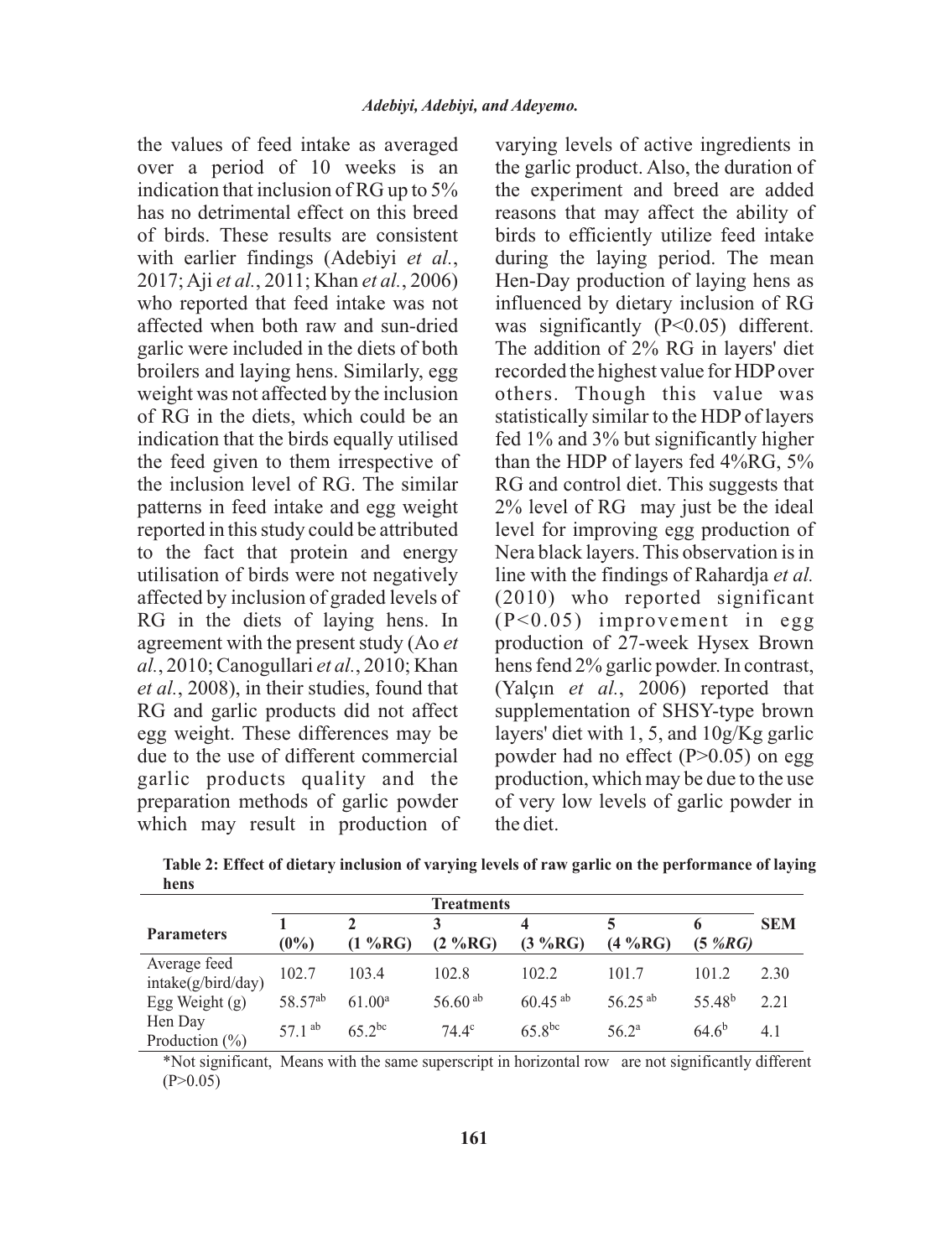the values of feed intake as averaged over a period of 10 weeks is an indication that inclusion of RG up to 5% has no detrimental effect on this breed of birds. These results are consistent with earlier findings (Adebiyi *et al.*, 2017; Aji *et al.*, 2011; Khan *et al.*, 2006) who reported that feed intake was not affected when both raw and sun-dried garlic were included in the diets of both broilers and laying hens. Similarly, egg weight was not affected by the inclusion of RG in the diets, which could be an indication that the birds equally utilised the feed given to them irrespective of the inclusion level of RG. The similar patterns in feed intake and egg weight reported in this study could be attributed to the fact that protein and energy utilisation of birds were not negatively affected by inclusion of graded levels of RG in the diets of laying hens. In agreement with the present study (Ao *et al.*, 2010; Canogullari *et al.*, 2010; Khan *et al.*, 2008), in their studies, found that RG and garlic products did not affect egg weight. These differences may be due to the use of different commercial garlic products quality and the preparation methods of garlic powder which may result in production of varying levels of active ingredients in the garlic product. Also, the duration of the experiment and breed are added reasons that may affect the ability of birds to efficiently utilize feed intake during the laying period. The mean Hen-Day production of laying hens as influenced by dietary inclusion of RG was significantly (P<0.05) different. The addition of 2% RG in layers' diet recorded the highest value for HDPover others. Though this value was statistically similar to the HDP of layers fed 1% and 3% but significantly higher than the HDP of layers fed 4%RG, 5% RG and control diet. This suggests that 2% level of RG may just be the ideal level for improving egg production of Nera black layers. This observation is in line with the findings of Rahardja *et al.* (2010) who reported significant (P<0.05) improvement in egg production of 27-week Hysex Brown hens fend 2% garlic powder. In contrast, (Yalçın *et al.*, 2006) reported that supplementation of SHSY-type brown layers' diet with 1, 5, and 10g/Kg garlic powder had no effect  $(P>0.05)$  on egg production, which may be due to the use of very low levels of garlic powder in the diet.

| Treatments                         |                     |                    |                          |              |                |                    |            |
|------------------------------------|---------------------|--------------------|--------------------------|--------------|----------------|--------------------|------------|
| <b>Parameters</b>                  | $(0\%)$             | $(1\%RG)$          | $(2 \sqrt{9} \text{RG})$ | (3 %RG)      | (4 %RG)        | $(5\%RG)$          | <b>SEM</b> |
| Average feed<br>intake(g/bird/day) | 102.7               | 103.4              | 102.8                    | 102.2        | 101.7          | 101.2              | 2.30       |
| Egg Weight $(g)$                   | 58.57 <sup>ab</sup> | 61.00 <sup>a</sup> | 56.60 $^{ab}$            | $60.45^{ab}$ | $56.25^{ab}$   | 55.48 <sup>b</sup> | 2.21       |
| Hen Day<br>Production $(\% )$      | 57.1 $^{ab}$        | $65$ 2bc           | $74.4^\circ$             | $65.8^{bc}$  | $56.2^{\rm a}$ | $64.6^{b}$         | 4.1        |

**Table 2: Effect of dietary inclusion of varying levels of raw garlic on the performance of laying hens**

\*Not significant, Means with the same superscript in horizontal row are not significantly different  $(P>0.05)$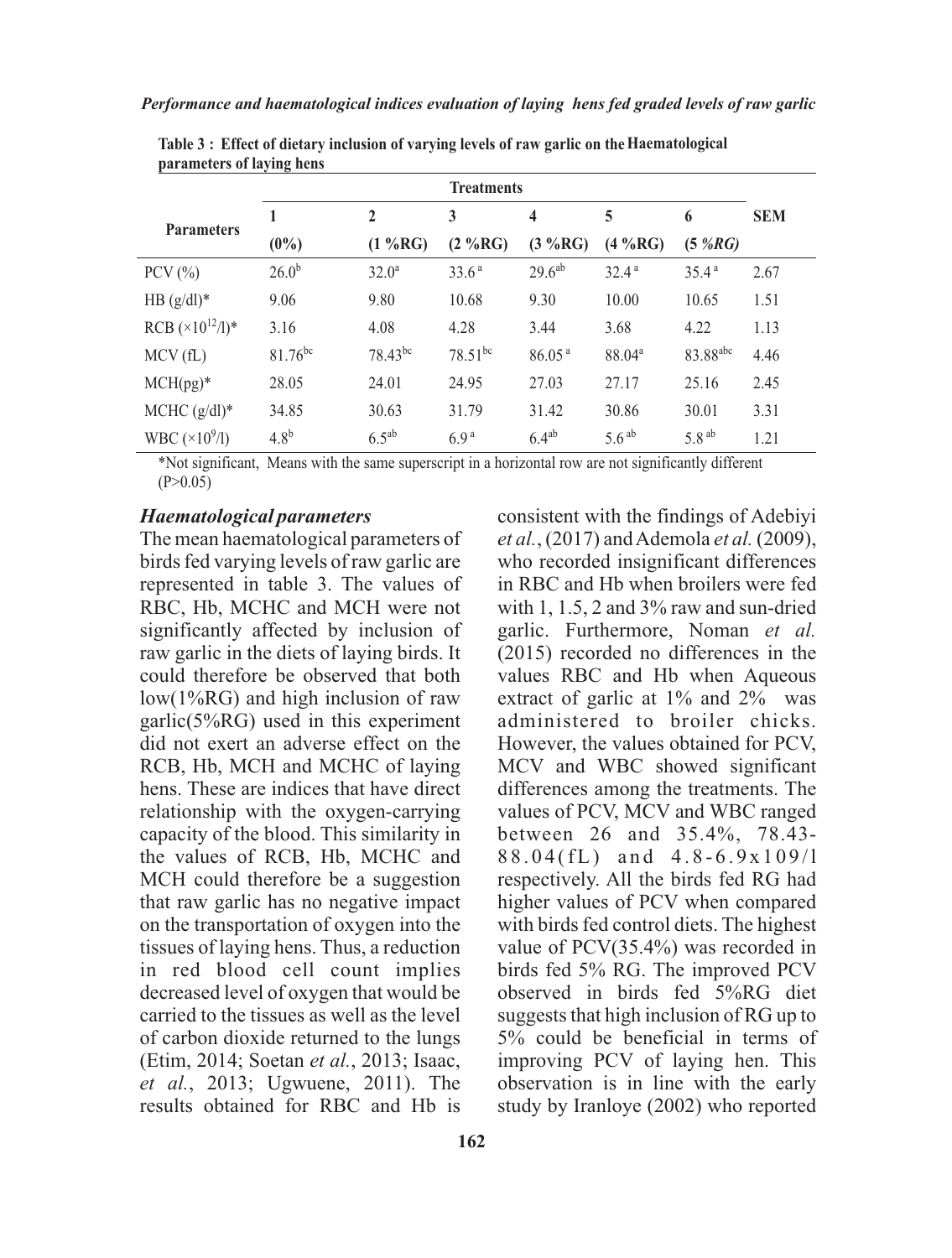|                            | <b>Treatments</b> |              |                   |                         |                    |                      |            |
|----------------------------|-------------------|--------------|-------------------|-------------------------|--------------------|----------------------|------------|
| <b>Parameters</b>          | 1                 | $\mathbf{2}$ | 3                 | $\overline{\mathbf{4}}$ | 5                  | 6                    | <b>SEM</b> |
|                            | $(0\%)$           | (1 %RG)      | (2 %RG)           | (3 %RG)                 | $(4\%RG)$          | (5 %RG)              |            |
| $PCV$ $(\%)$               | 26.0 <sup>b</sup> | $32.0^a$     | 33.6 <sup>a</sup> | 29.6 <sup>ab</sup>      | 32.4 <sup>a</sup>  | 35.4 <sup>a</sup>    | 2.67       |
| HB $(g/dl)^*$              | 9.06              | 9.80         | 10.68             | 9.30                    | 10.00              | 10.65                | 1.51       |
| RCB $(\times 10^{12}/l)^*$ | 3.16              | 4.08         | 4.28              | 3.44                    | 3.68               | 4.22                 | 1.13       |
| MCV(fL)                    | $81.76^{bc}$      | $78.43^{bc}$ | $78.51^{bc}$      | 86.05 <sup>a</sup>      | 88.04 <sup>a</sup> | 83.88 <sup>abc</sup> | 4.46       |
| $MCH(pg)^*$                | 28.05             | 24.01        | 24.95             | 27.03                   | 27.17              | 25.16                | 2.45       |
| MCHC $(g/dl)^*$            | 34.85             | 30.63        | 31.79             | 31.42                   | 30.86              | 30.01                | 3.31       |
| WBC $(\times 10^9/1)$      | 4.8 <sup>b</sup>  | $6.5^{ab}$   | 6.9 <sup>a</sup>  | $6.4^{ab}$              | 5.6 <sup>ab</sup>  | 5.8 <sup>ab</sup>    | 1.21       |

**Table 3 : Effect of dietary inclusion of varying levels of raw garlic on theHaematological parameters of laying hens**

\*Not significant, Means with the same superscript in a horizontal row are not significantly different  $(P>0.05)$ 

#### *Haematological parameters*

The mean haematological parameters of birds fed varying levels of raw garlic are represented in table 3. The values of RBC, Hb, MCHC and MCH were not significantly affected by inclusion of raw garlic in the diets of laying birds. It could therefore be observed that both low(1%RG) and high inclusion of raw garlic(5%RG) used in this experiment did not exert an adverse effect on the RCB, Hb, MCH and MCHC of laying hens. These are indices that have direct relationship with the oxygen-carrying capacity of the blood. This similarity in the values of RCB, Hb, MCHC and MCH could therefore be a suggestion that raw garlic has no negative impact on the transportation of oxygen into the tissues of laying hens. Thus, a reduction in red blood cell count implies decreased level of oxygen that would be carried to the tissues as well as the level of carbon dioxide returned to the lungs (Etim, 2014; Soetan *et al.*, 2013; Isaac, *et al.*, 2013; Ugwuene, 2011). The results obtained for RBC and Hb is

**162**

consistent with the findings of Adebiyi *et al.*, (2017) and Ademola *et al.* (2009), who recorded insignificant differences in RBC and Hb when broilers were fed with 1, 1.5, 2 and 3% raw and sun-dried garlic. Furthermore, Noman *et al.* (2015) recorded no differences in the values RBC and Hb when Aqueous extract of garlic at 1% and 2% was administered to broiler chicks. However, the values obtained for PCV, MCV and WBC showed significant differences among the treatments. The values of PCV, MCV and WBC ranged between 26 and 35.4%, 78.43-  $88.04$ (fL) and  $4.8 - 6.9 \times 109$ /1 respectively. All the birds fed RG had higher values of PCV when compared with birds fed control diets. The highest value of PCV(35.4%) was recorded in birds fed 5% RG. The improved PCV observed in birds fed 5%RG diet suggests that high inclusion of RG up to 5% could be beneficial in terms of improving PCV of laying hen. This observation is in line with the early study by Iranloye (2002) who reported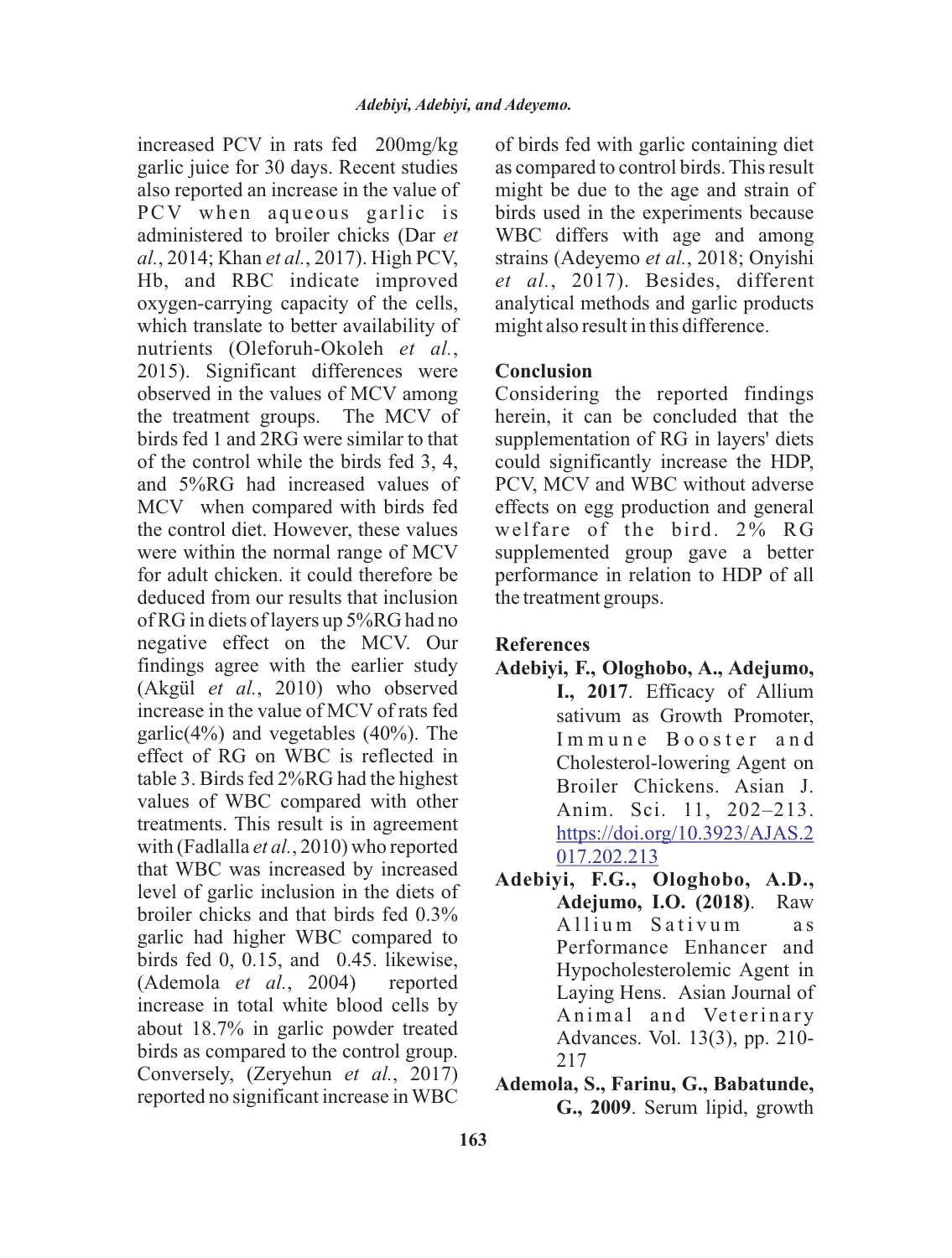increased PCV in rats fed 200mg/kg garlic juice for 30 days. Recent studies also reported an increase in the value of PCV when aqueous garlic is administered to broiler chicks (Dar *et al.*, 2014; Khan *et al.*, 2017). High PCV, Hb, and RBC indicate improved oxygen-carrying capacity of the cells, which translate to better availability of nutrients (Oleforuh-Okoleh *et al.*, 2015). Significant differences were observed in the values of MCV among the treatment groups. The MCV of birds fed 1 and 2RG were similar to that of the control while the birds fed 3, 4, and 5%RG had increased values of MCV when compared with birds fed the control diet. However, these values were within the normal range of MCV for adult chicken. it could therefore be deduced from our results that inclusion of RG in diets of layers up 5%RG had no negative effect on the MCV. Our findings agree with the earlier study (Akgül *et al.*, 2010) who observed increase in the value of MCV of rats fed garlic( $4\%$ ) and vegetables ( $40\%$ ). The effect of RG on WBC is reflected in table 3. Birds fed 2%RG had the highest values of WBC compared with other treatments. This result is in agreement with (Fadlalla *et al.*, 2010) who reported that WBC was increased by increased level of garlic inclusion in the diets of broiler chicks and that birds fed 0.3% garlic had higher WBC compared to birds fed 0, 0.15, and 0.45. likewise, (Ademola *et al.*, 2004) reported increase in total white blood cells by about 18.7% in garlic powder treated birds as compared to the control group. Conversely, (Zeryehun *et al.*, 2017) reported no significant increase in WBC

of birds fed with garlic containing diet as compared to control birds. This result might be due to the age and strain of birds used in the experiments because WBC differs with age and among strains (Adeyemo *et al.*, 2018; Onyishi *et al.*, 2017). Besides, different analytical methods and garlic products might also result in this difference.

### **Conclusion**

Considering the reported findings herein, it can be concluded that the supplementation of RG in layers' diets could significantly increase the HDP, PCV, MCV and WBC without adverse effects on egg production and general welfare of the bird. 2% RG supplemented group gave a better performance in relation to HDP of all the treatment groups.

### **References**

- **Adebiyi, F., Ologhobo, A., Adejumo, I., 2017**. Efficacy of Allium sativum as Growth Promoter, Immune Booster and Cholesterol-lowering Agent on Broiler Chickens. Asian J. Anim. Sci. 11, 202–213. https://doi.org/10.3923/AJAS.2 017.202.213
- **Adebiyi, F.G., Ologhobo, A.D., Adejumo, I.O. (2018)**. Raw Allium Sativum as Performance Enhancer and Hypocholesterolemic Agent in Laying Hens. Asian Journal of Animal and Veterinary Advances. Vol. 13(3), pp. 210- 217
- **Ademola, S., Farinu, G., Babatunde, G., 2009**. Serum lipid, growth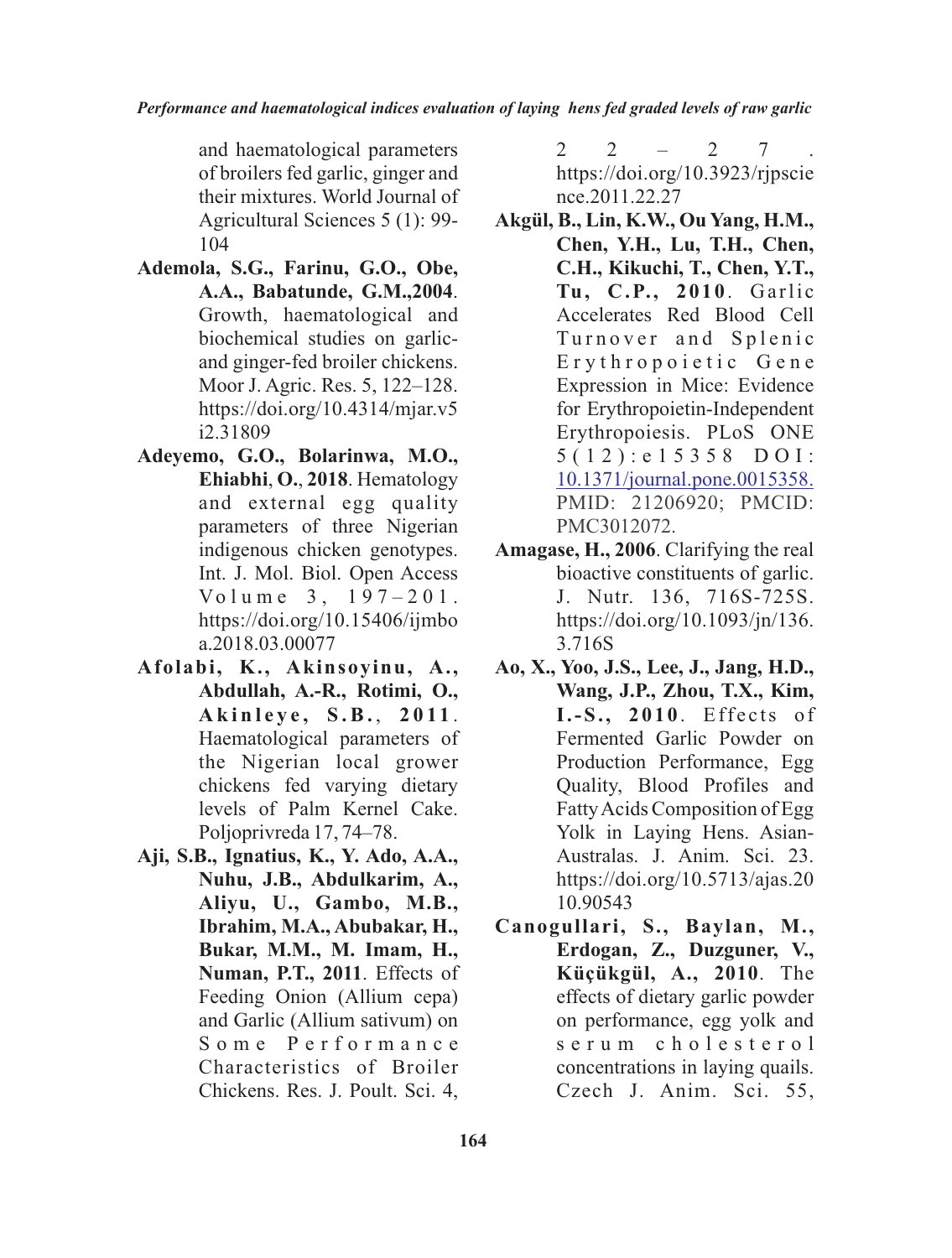and haematological parameters of broilers fed garlic, ginger and their mixtures. World Journal of Agricultural Sciences 5 (1): 99- 104

- **Ademola, S.G., Farinu, G.O., Obe, A.A., Babatunde, G.M.,2004**. Growth, haematological and biochemical studies on garlicand ginger-fed broiler chickens. Moor J. Agric. Res. 5, 122–128. https://doi.org/10.4314/mjar.v5 i2.31809
- **Adeyemo, G.O., Bolarinwa, M.O., Ehiabhi**, **O.**, **2018**. Hematology and external egg quality parameters of three Nigerian indigenous chicken genotypes. Int. J. Mol. Biol. Open Access  $Volume = 3, 197 - 201.$ https://doi.org/10.15406/ijmbo a.2018.03.00077
- **Afolabi, K., Akinsoyinu, A., Abdullah, A.-R., Rotimi, O., A k i n l e y e , S .B.** , **2 0 11** . Haematological parameters of the Nigerian local grower chickens fed varying dietary levels of Palm Kernel Cake. Poljoprivreda 17, 74–78.
- **Aji, S.B., Ignatius, K., Y. Ado, A.A., Nuhu, J.B., Abdulkarim, A., Aliyu, U., Gambo, M.B., Ibrahim, M.A., Abubakar, H., Bukar, M.M., M. Imam, H., Numan, P.T., 2011**. Effects of Feeding Onion (Allium cepa) and Garlic (Allium sativum) on S o m e P e r f o r m a n c e Characteristics of Broiler Chickens. Res. J. Poult. Sci. 4,

 $2$   $2$   $2$   $7$  . https://doi.org/10.3923/rjpscie nce.2011.22.27

- **Akgül, B., Lin, K.W., Ou Yang, H.M., Chen, Y.H., Lu, T.H., Chen, C.H., Kikuchi, T., Chen, Y.T.,**  Tu, C.P., 2010. Garlic Accelerates Red Blood Cell Turnover and Splenic Erythropoietic Gene Expression in Mice: Evidence for Erythropoietin-Independent Erythropoiesis. PLoS ONE  $5(12)$ : e 1 5 3 5 8 D O I: 10.1371/journal.pone.0015358. PMID: 21206920; PMCID: PMC3012072.
- **Amagase, H., 2006**. Clarifying the real bioactive constituents of garlic. J. Nutr. 136, 716S-725S. https://doi.org/10.1093/jn/136. 3.716S
- **Ao, X., Yoo, J.S., Lee, J., Jang, H.D., Wang, J.P., Zhou, T.X., Kim, I.-S. , 2 0 1 0** . Eff e c ts o f Fermented Garlic Powder on Production Performance, Egg Quality, Blood Profiles and Fatty Acids Composition of Egg Yolk in Laying Hens. Asian-Australas. J. Anim. Sci. 23. https://doi.org/10.5713/ajas.20 10.90543
- **Canogullari, S., Baylan, M., Erdogan, Z., Duzguner, V., Küçükgül, A., 2010**. The effects of dietary garlic powder on performance, egg yolk and s e r u m c h o l e s t e r o l concentrations in laying quails. Czech J. Anim. Sci. 55,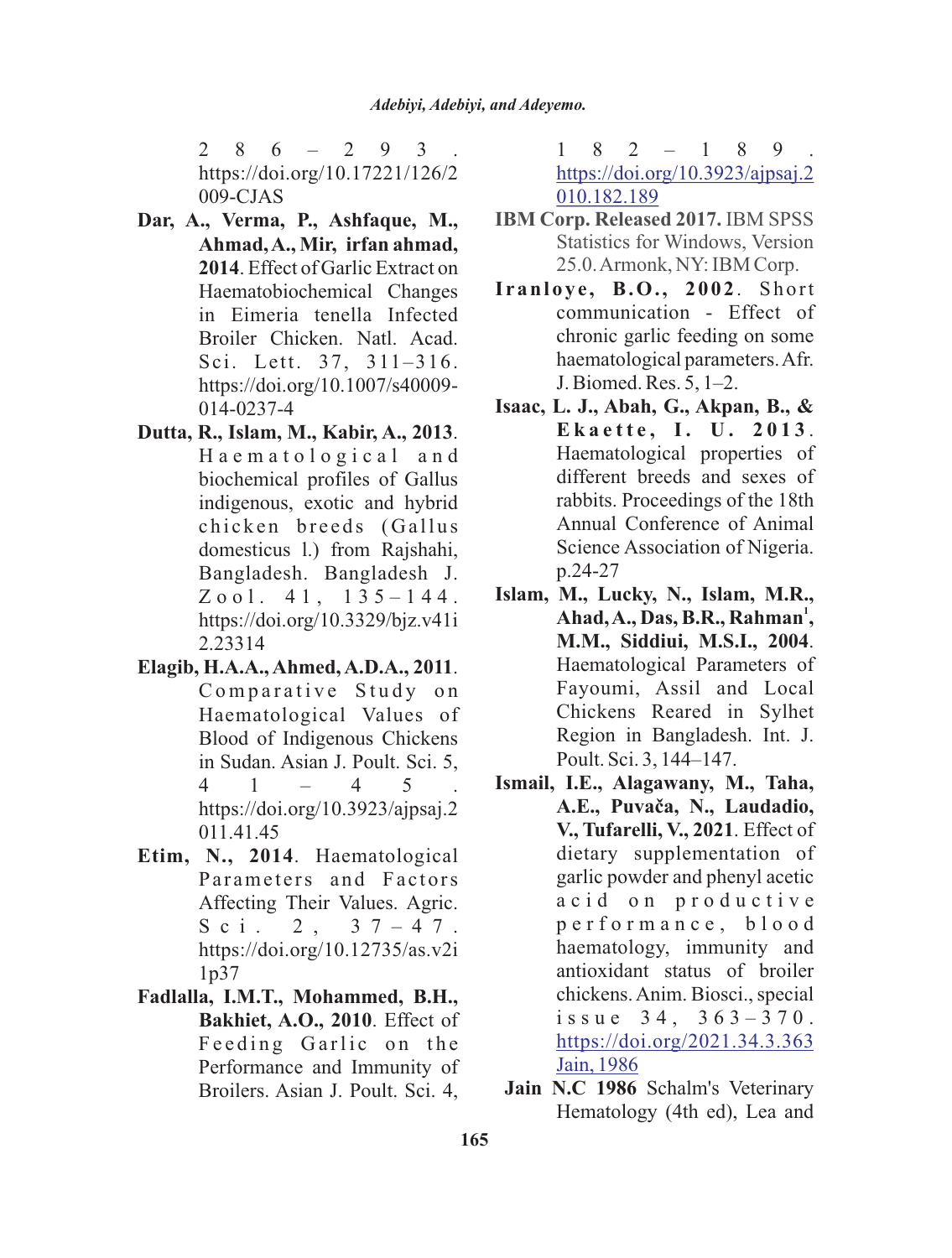$2 \t8 \t6 - 2 \t9 \t3$ https://doi.org/10.17221/126/2 009-CJAS

- **Dar, A., Verma, P., Ashfaque, M., Ahmad, A., Mir, irfan ahmad, 2014**. Effect of Garlic Extract on Haematobiochemical Changes in Eimeria tenella Infected Broiler Chicken. Natl. Acad. Sci. Lett. 37, 311–316. https://doi.org/10.1007/s40009- 014-0237-4
- **Dutta, R., Islam, M., Kabir, A., 2013**. H a e m a t o l o g i c a l a n d biochemical profiles of Gallus indigenous, exotic and hybrid chicken breeds (Gallus domesticus l.) from Rajshahi, Bangladesh. Bangladesh J.  $Z$  o o l. 4 1, 1 3 5 – 1 4 4. https://doi.org/10.3329/bjz.v41i 2.23314
- **Elagib, H.A.A., Ahmed, A.D.A., 2011**. Comparative Study on Haematological Values of Blood of Indigenous Chickens in Sudan. Asian J. Poult. Sci. 5, 4 1 – 4 5 . https://doi.org/10.3923/ajpsaj.2 011.41.45
- **Etim, N., 2014**. Haematological Parameters and Factors Affecting Their Values. Agric. Sci. 2,  $37 - 47$ . https://doi.org/10.12735/as.v2i 1p37
- **Fadlalla, I.M.T., Mohammed, B.H., Bakhiet, A.O., 2010**. Effect of Feeding Garlic on the Performance and Immunity of Broilers. Asian J. Poult. Sci. 4,

 $1 \t8 \t2 \t- 1 \t8 \t9$ https://doi.org/10.3923/ajpsaj.2 010.182.189

- **IBM Corp. Released 2017.** IBM SPSS Statistics for Windows, Version 25.0. Armonk, NY: IBM Corp.
- **I ranloye , B.O., 2002**. Short communication - Effect of chronic garlic feeding on some haematological parameters. Afr. J. Biomed. Res. 5, 1–2.
- **Isaac, L. J., Abah, G., Akpan, B., & E k a e t t e , I. U . 2 0 1 3** . Haematological properties of different breeds and sexes of rabbits. Proceedings of the 18th Annual Conference of Animal Science Association of Nigeria. p.24-27
- **Islam, M., Lucky, N., Islam, M.R., <sup>1</sup> Ahad, A., Das, B.R., Rahman , M.M., Siddiui, M.S.I., 2004**. Haematological Parameters of Fayoumi, Assil and Local Chickens Reared in Sylhet Region in Bangladesh. Int. J. Poult. Sci. 3, 144–147.
- **Ismail, I.E., Alagawany, M., Taha, A.E., Puvaèa, N., Laudadio, V., Tufarelli, V., 2021**. Effect of dietary supplementation of garlic powder and phenyl acetic a c i d o n p r o d u c t i v e p e r f o r m a n c e , b l o o d haematology, immunity and antioxidant status of broiler chickens. Anim. Biosci., special issue  $34, 363 - 370$ . https://doi.org/2021.34.3.363 Jain, 1986
- **Jain N.C 1986** Schalm's Veterinary Hematology (4th ed), Lea and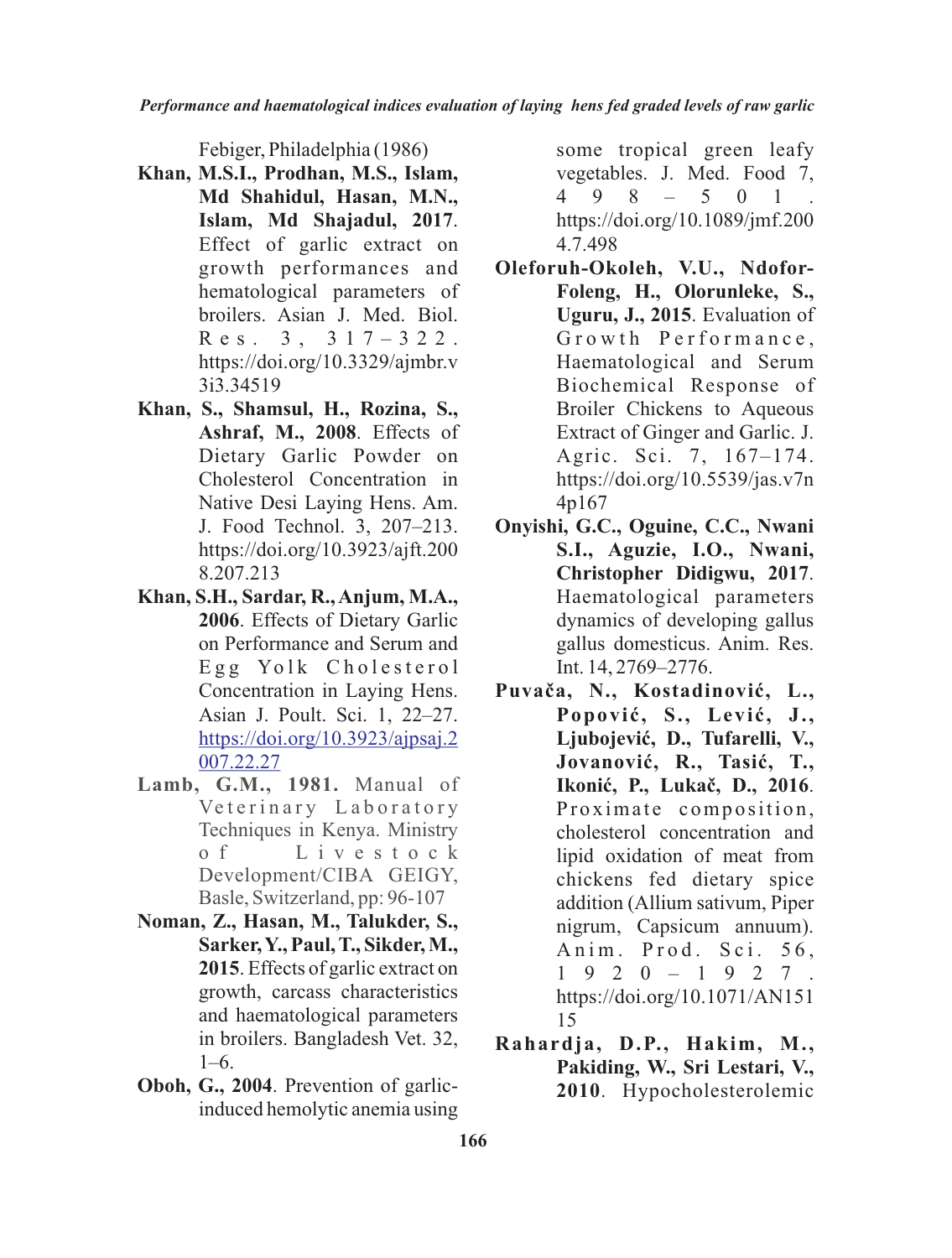Febiger, Philadelphia (1986)

- **Khan, M.S.I., Prodhan, M.S., Islam, Md Shahidul, Hasan, M.N., Islam, Md Shajadul, 2017**. Effect of garlic extract on growth performances and hematological parameters of broilers. Asian J. Med. Biol.  $R$  e s  $3, 317 - 322$ . https://doi.org/10.3329/ajmbr.v 3i3.34519
- **Khan, S., Shamsul, H., Rozina, S., Ashraf, M., 2008**. Effects of Dietary Garlic Powder on Cholesterol Concentration in Native Desi Laying Hens. Am. J. Food Technol. 3, 207–213. https://doi.org/10.3923/ajft.200 8.207.213
- **Khan, S.H., Sardar, R., Anjum, M.A., 2006**. Effects of Dietary Garlic on Performance and Serum and Egg Yolk Cholesterol Concentration in Laying Hens. Asian J. Poult. Sci. 1, 22–27. https://doi.org/10.3923/ajpsaj.2 007.22.27
- **Lamb, G.M., 1981.** Manual of Veterinary Laboratory Techniques in Kenya. Ministry o f L i v e s t o c k Development/CIBA GEIGY, Basle, Switzerland, pp: 96-107
- **Noman, Z., Hasan, M., Talukder, S., Sarker, Y., Paul, T., Sikder, M., 2015**. Effects of garlic extract on growth, carcass characteristics and haematological parameters in broilers. Bangladesh Vet. 32, 1–6.
- **Oboh, G., 2004**. Prevention of garlicinduced hemolytic anemia using

some tropical green leafy vegetables. J. Med. Food 7, 4 9 8 – 5 0 1 . https://doi.org/10.1089/jmf.200 4.7.498

- **Oleforuh-Okoleh, V.U., Ndofor-Foleng, H., Olorunleke, S., Uguru, J., 2015**. Evaluation of Growth Performance, Haematological and Serum Biochemical Response of Broiler Chickens to Aqueous Extract of Ginger and Garlic. J. Agric. Sci. 7, 167–174. https://doi.org/10.5539/jas.v7n 4p167
- **Onyishi, G.C., Oguine, C.C., Nwani S.I., Aguzie, I.O., Nwani, Christopher Didigwu, 2017**. Haematological parameters dynamics of developing gallus gallus domesticus. Anim. Res. Int. 14, 2769–2776.
- **Puvaèa, N., Kostadinoviæ, L., Popoviæ, S., Leviæ, J.,** Ljubojević, D., Tufarelli, V., **Jovanoviæ, R., Tasiæ, T., Ikoniæ, P., Lukaè, D., 2016**. Proximate composition, cholesterol concentration and lipid oxidation of meat from chickens fed dietary spice addition (Allium sativum, Piper nigrum, Capsicum annuum). Anim. Prod. Sci. 56, 1 9 2 0 – 1 9 2 7 . https://doi.org/10.1071/AN151 15
- **Rahardja, D.P., Hakim, M., Pakiding, W., Sri Lestari, V., 2010**. Hypocholesterolemic